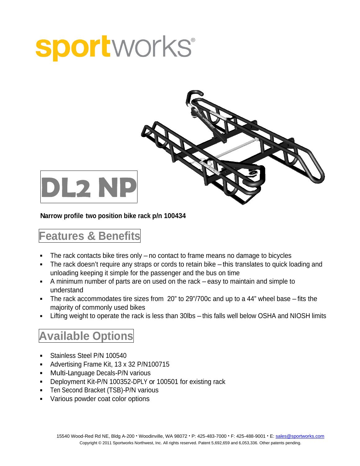## **sportworks**®



**Narrow profile two position bike rack p/n 100434**

## **Features & Benefits**

- The rack contacts bike tires only no contact to frame means no damage to bicycles  $\blacksquare$
- The rack doesn't require any straps or cords to retain bike this translates to quick loading and unloading keeping it simple for the passenger and the bus on time
- A minimum number of parts are on used on the rack easy to maintain and simple to understand and the contract of the contract of the contract of the contract of the contract of the contract of the contract of the contract of the contract of the contract of the contract of the contract of the contract of
- The rack accommodates tire sizes from 20" to 29"/700c and up to a 44" wheel base fits the  $\blacksquare$ majority of commonly used bikes
- Lifting weight to operate the rack is less than 30lbs this falls well below OSHA and NIOSH limits  $\blacksquare$

## **Available Options**

- Stainless Steel P/N 100540
- Advertising Frame Kit, 13 x 32 P/N100715
- **Multi-Language Decals-P/N various**
- Deployment Kit-P/N 100352-DPLY or 100501 for existing rack
- Ten Second Bracket (TSB)-P/N various
- Various powder coat color options $\blacksquare$